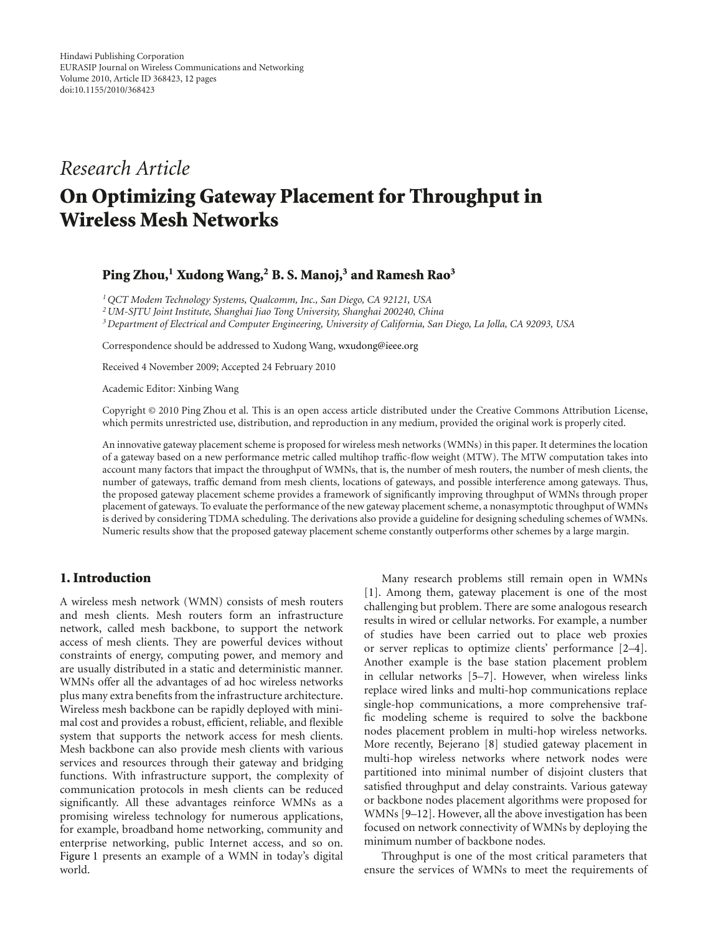## *Research Article*

# **On Optimizing Gateway Placement for Throughput in Wireless Mesh Networks**

#### **Ping Zhou,1 Xudong Wang,2 B. S. Manoj,3 and Ramesh Rao3**

*1QCT Modem Technology Systems, Qualcomm, Inc., San Diego, CA 92121, USA*

*2UM-SJTU Joint Institute, Shanghai Jiao Tong University, Shanghai 200240, China*

*3Department of Electrical and Computer Engineering, University of California, San Diego, La Jolla, CA 92093, USA*

Correspondence should be addressed to Xudong Wang, wxudong@ieee.org

Received 4 November 2009; Accepted 24 February 2010

Academic Editor: Xinbing Wang

Copyright © 2010 Ping Zhou et al. This is an open access article distributed under the Creative Commons Attribution License, which permits unrestricted use, distribution, and reproduction in any medium, provided the original work is properly cited.

An innovative gateway placement scheme is proposed for wireless mesh networks (WMNs) in this paper. It determines the location of a gateway based on a new performance metric called multihop traffic-flow weight (MTW). The MTW computation takes into account many factors that impact the throughput of WMNs, that is, the number of mesh routers, the number of mesh clients, the number of gateways, traffic demand from mesh clients, locations of gateways, and possible interference among gateways. Thus, the proposed gateway placement scheme provides a framework of significantly improving throughput of WMNs through proper placement of gateways. To evaluate the performance of the new gateway placement scheme, a nonasymptotic throughput of WMNs is derived by considering TDMA scheduling. The derivations also provide a guideline for designing scheduling schemes of WMNs. Numeric results show that the proposed gateway placement scheme constantly outperforms other schemes by a large margin.

## **1. Introduction**

A wireless mesh network (WMN) consists of mesh routers and mesh clients. Mesh routers form an infrastructure network, called mesh backbone, to support the network access of mesh clients. They are powerful devices without constraints of energy, computing power, and memory and are usually distributed in a static and deterministic manner. WMNs offer all the advantages of ad hoc wireless networks plus many extra benefits from the infrastructure architecture. Wireless mesh backbone can be rapidly deployed with minimal cost and provides a robust, efficient, reliable, and flexible system that supports the network access for mesh clients. Mesh backbone can also provide mesh clients with various services and resources through their gateway and bridging functions. With infrastructure support, the complexity of communication protocols in mesh clients can be reduced significantly. All these advantages reinforce WMNs as a promising wireless technology for numerous applications, for example, broadband home networking, community and enterprise networking, public Internet access, and so on. Figure 1 presents an example of a WMN in today's digital world.

Many research problems still remain open in WMNs [1]. Among them, gateway placement is one of the most challenging but problem. There are some analogous research results in wired or cellular networks. For example, a number of studies have been carried out to place web proxies or server replicas to optimize clients' performance [2–4]. Another example is the base station placement problem in cellular networks [5–7]. However, when wireless links replace wired links and multi-hop communications replace single-hop communications, a more comprehensive traffic modeling scheme is required to solve the backbone nodes placement problem in multi-hop wireless networks. More recently, Bejerano [8] studied gateway placement in multi-hop wireless networks where network nodes were partitioned into minimal number of disjoint clusters that satisfied throughput and delay constraints. Various gateway or backbone nodes placement algorithms were proposed for WMNs [9–12]. However, all the above investigation has been focused on network connectivity of WMNs by deploying the minimum number of backbone nodes.

Throughput is one of the most critical parameters that ensure the services of WMNs to meet the requirements of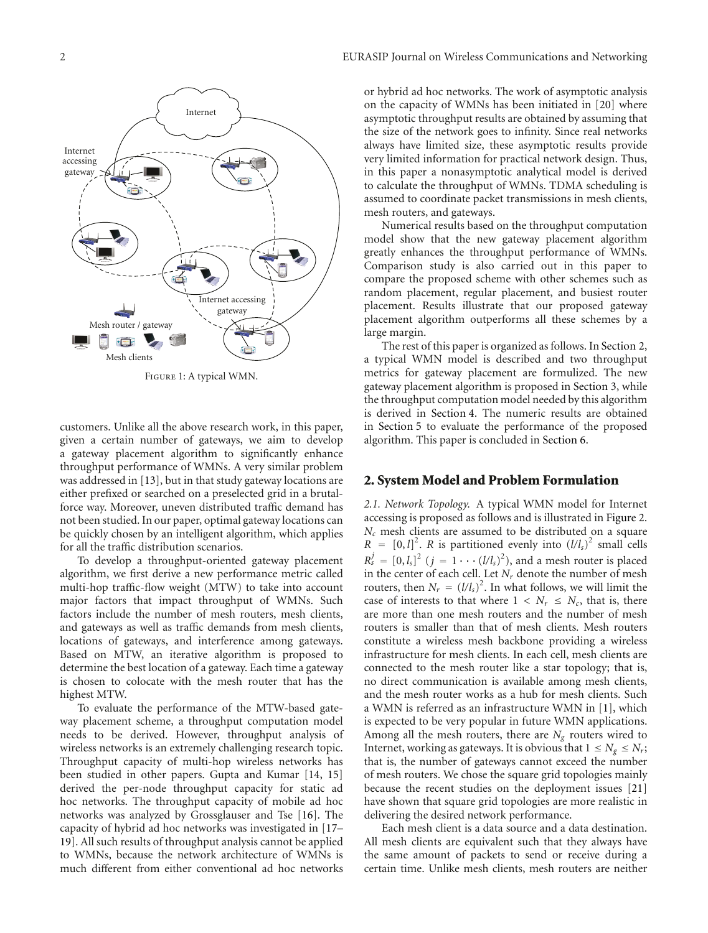

Figure 1: A typical WMN.

customers. Unlike all the above research work, in this paper, given a certain number of gateways, we aim to develop a gateway placement algorithm to significantly enhance throughput performance of WMNs. A very similar problem was addressed in [13], but in that study gateway locations are either prefixed or searched on a preselected grid in a brutalforce way. Moreover, uneven distributed traffic demand has not been studied. In our paper, optimal gateway locations can be quickly chosen by an intelligent algorithm, which applies for all the traffic distribution scenarios.

To develop a throughput-oriented gateway placement algorithm, we first derive a new performance metric called multi-hop traffic-flow weight (MTW) to take into account major factors that impact throughput of WMNs. Such factors include the number of mesh routers, mesh clients, and gateways as well as traffic demands from mesh clients, locations of gateways, and interference among gateways. Based on MTW, an iterative algorithm is proposed to determine the best location of a gateway. Each time a gateway is chosen to colocate with the mesh router that has the highest MTW.

To evaluate the performance of the MTW-based gateway placement scheme, a throughput computation model needs to be derived. However, throughput analysis of wireless networks is an extremely challenging research topic. Throughput capacity of multi-hop wireless networks has been studied in other papers. Gupta and Kumar [14, 15] derived the per-node throughput capacity for static ad hoc networks. The throughput capacity of mobile ad hoc networks was analyzed by Grossglauser and Tse [16]. The capacity of hybrid ad hoc networks was investigated in [17– 19]. All such results of throughput analysis cannot be applied to WMNs, because the network architecture of WMNs is much different from either conventional ad hoc networks

or hybrid ad hoc networks. The work of asymptotic analysis on the capacity of WMNs has been initiated in [20] where asymptotic throughput results are obtained by assuming that the size of the network goes to infinity. Since real networks always have limited size, these asymptotic results provide very limited information for practical network design. Thus, in this paper a nonasymptotic analytical model is derived to calculate the throughput of WMNs. TDMA scheduling is assumed to coordinate packet transmissions in mesh clients, mesh routers, and gateways.

Numerical results based on the throughput computation model show that the new gateway placement algorithm greatly enhances the throughput performance of WMNs. Comparison study is also carried out in this paper to compare the proposed scheme with other schemes such as random placement, regular placement, and busiest router placement. Results illustrate that our proposed gateway placement algorithm outperforms all these schemes by a large margin.

The rest of this paper is organized as follows. In Section 2, a typical WMN model is described and two throughput metrics for gateway placement are formulized. The new gateway placement algorithm is proposed in Section 3, while the throughput computation model needed by this algorithm is derived in Section 4. The numeric results are obtained in Section 5 to evaluate the performance of the proposed algorithm. This paper is concluded in Section 6.

#### **2. System Model and Problem Formulation**

*2.1. Network Topology.* A typical WMN model for Internet accessing is proposed as follows and is illustrated in Figure 2. *Nc* mesh clients are assumed to be distributed on a square  $R = [0, l]^2$ . *R* is partitioned evenly into  $(l/l_s)^2$  small cells  $R_s^j = [0, l_s]^2$  (*j* = 1 · · · (*l/l<sub>s</sub>*)<sup>2</sup>), and a mesh router is placed in the center of each cell. Let *Nr* denote the number of mesh routers, then  $N_r = (l/l_s)^2$ . In what follows, we will limit the case of interests to that where  $1 \lt N_r \leq N_c$ , that is, there are more than one mesh routers and the number of mesh routers is smaller than that of mesh clients. Mesh routers constitute a wireless mesh backbone providing a wireless infrastructure for mesh clients. In each cell, mesh clients are connected to the mesh router like a star topology; that is, no direct communication is available among mesh clients, and the mesh router works as a hub for mesh clients. Such a WMN is referred as an infrastructure WMN in [1], which is expected to be very popular in future WMN applications. Among all the mesh routers, there are  $N_g$  routers wired to Internet, working as gateways. It is obvious that  $1 \leq N_g \leq N_r$ ; that is, the number of gateways cannot exceed the number of mesh routers. We chose the square grid topologies mainly because the recent studies on the deployment issues [21] have shown that square grid topologies are more realistic in delivering the desired network performance.

Each mesh client is a data source and a data destination. All mesh clients are equivalent such that they always have the same amount of packets to send or receive during a certain time. Unlike mesh clients, mesh routers are neither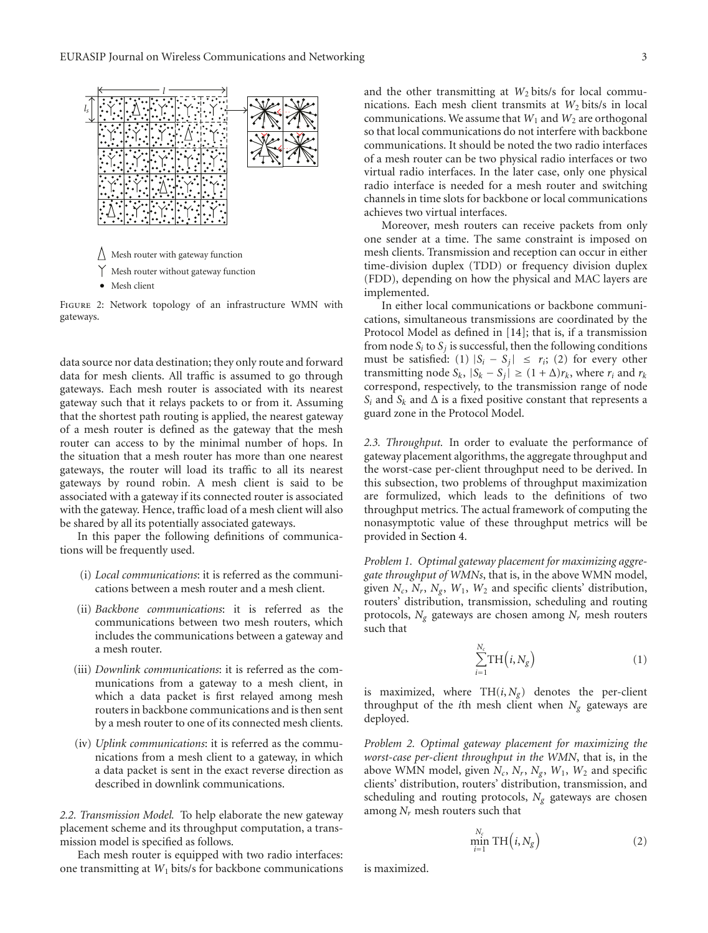

FIGURE 2: Network topology of an infrastructure WMN with gateways.

data source nor data destination; they only route and forward data for mesh clients. All traffic is assumed to go through gateways. Each mesh router is associated with its nearest gateway such that it relays packets to or from it. Assuming that the shortest path routing is applied, the nearest gateway of a mesh router is defined as the gateway that the mesh router can access to by the minimal number of hops. In the situation that a mesh router has more than one nearest gateways, the router will load its traffic to all its nearest gateways by round robin. A mesh client is said to be associated with a gateway if its connected router is associated with the gateway. Hence, traffic load of a mesh client will also be shared by all its potentially associated gateways.

In this paper the following definitions of communications will be frequently used.

- (i) *Local communications*: it is referred as the communications between a mesh router and a mesh client.
- (ii) *Backbone communications*: it is referred as the communications between two mesh routers, which includes the communications between a gateway and a mesh router.
- (iii) *Downlink communications*: it is referred as the communications from a gateway to a mesh client, in which a data packet is first relayed among mesh routers in backbone communications and is then sent by a mesh router to one of its connected mesh clients.
- (iv) *Uplink communications*: it is referred as the communications from a mesh client to a gateway, in which a data packet is sent in the exact reverse direction as described in downlink communications.

*2.2. Transmission Model.* To help elaborate the new gateway placement scheme and its throughput computation, a transmission model is specified as follows.

Each mesh router is equipped with two radio interfaces: one transmitting at *W*<sup>1</sup> bits/s for backbone communications and the other transmitting at  $W_2$  bits/s for local communications. Each mesh client transmits at  $W_2$  bits/s in local communications. We assume that  $W_1$  and  $W_2$  are orthogonal so that local communications do not interfere with backbone communications. It should be noted the two radio interfaces of a mesh router can be two physical radio interfaces or two virtual radio interfaces. In the later case, only one physical radio interface is needed for a mesh router and switching channels in time slots for backbone or local communications achieves two virtual interfaces.

Moreover, mesh routers can receive packets from only one sender at a time. The same constraint is imposed on mesh clients. Transmission and reception can occur in either time-division duplex (TDD) or frequency division duplex (FDD), depending on how the physical and MAC layers are implemented.

In either local communications or backbone communications, simultaneous transmissions are coordinated by the Protocol Model as defined in [14]; that is, if a transmission from node  $S_i$  to  $S_j$  is successful, then the following conditions must be satisfied: (1)  $|S_i - S_j| \le r_i$ ; (2) for every other transmitting node  $S_k$ ,  $|S_k - S_j| \ge (1 + \Delta)r_k$ , where  $r_i$  and  $r_k$ correspond, respectively, to the transmission range of node  $S_i$  and  $S_k$  and  $\Delta$  is a fixed positive constant that represents a guard zone in the Protocol Model.

*2.3. Throughput.* In order to evaluate the performance of gateway placement algorithms, the aggregate throughput and the worst-case per-client throughput need to be derived. In this subsection, two problems of throughput maximization are formulized, which leads to the definitions of two throughput metrics. The actual framework of computing the nonasymptotic value of these throughput metrics will be provided in Section 4.

*Problem 1. Optimal gateway placement for maximizing aggregate throughput of WMNs*, that is, in the above WMN model, given  $N_c$ ,  $N_r$ ,  $N_g$ ,  $W_1$ ,  $W_2$  and specific clients' distribution, routers' distribution, transmission, scheduling and routing protocols, *Ng* gateways are chosen among *Nr* mesh routers such that

$$
\sum_{i=1}^{N_c} \text{TH}\left(i, N_g\right) \tag{1}
$$

is maximized, where  $TH(i, N_g)$  denotes the per-client throughput of the *i*th mesh client when  $N_g$  gateways are deployed.

*Problem 2. Optimal gateway placement for maximizing the worst-case per-client throughput in the WMN*, that is, in the above WMN model, given  $N_c$ ,  $N_r$ ,  $N_g$ ,  $W_1$ ,  $W_2$  and specific clients' distribution, routers' distribution, transmission, and scheduling and routing protocols,  $N_g$  gateways are chosen among *Nr* mesh routers such that

$$
\min_{i=1}^{N_c} \text{TH}\left(i, N_g\right) \tag{2}
$$

is maximized.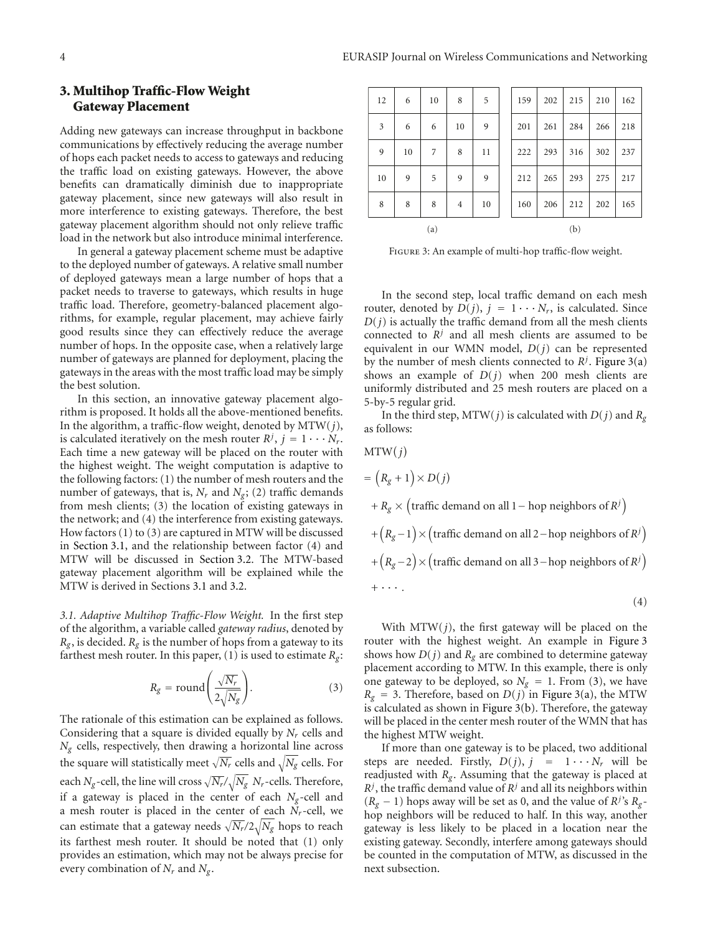#### **3. Multihop Traffic-Flow Weight Gateway Placement**

Adding new gateways can increase throughput in backbone communications by effectively reducing the average number of hops each packet needs to access to gateways and reducing the traffic load on existing gateways. However, the above benefits can dramatically diminish due to inappropriate gateway placement, since new gateways will also result in more interference to existing gateways. Therefore, the best gateway placement algorithm should not only relieve traffic load in the network but also introduce minimal interference.

In general a gateway placement scheme must be adaptive to the deployed number of gateways. A relative small number of deployed gateways mean a large number of hops that a packet needs to traverse to gateways, which results in huge traffic load. Therefore, geometry-balanced placement algorithms, for example, regular placement, may achieve fairly good results since they can effectively reduce the average number of hops. In the opposite case, when a relatively large number of gateways are planned for deployment, placing the gateways in the areas with the most traffic load may be simply the best solution.

In this section, an innovative gateway placement algorithm is proposed. It holds all the above-mentioned benefits. In the algorithm, a traffic-flow weight, denoted by MTW(*j*), is calculated iteratively on the mesh router  $R^j$ ,  $j = 1 \cdots N_r$ . Each time a new gateway will be placed on the router with the highest weight. The weight computation is adaptive to the following factors: (1) the number of mesh routers and the number of gateways, that is,  $N_r$  and  $N_g$ ; (2) traffic demands from mesh clients; (3) the location of existing gateways in the network; and (4) the interference from existing gateways. How factors (1) to (3) are captured in MTW will be discussed in Section 3.1, and the relationship between factor (4) and MTW will be discussed in Section 3.2. The MTW-based gateway placement algorithm will be explained while the MTW is derived in Sections 3.1 and 3.2.

*3.1. Adaptive Multihop Traffic-Flow Weight.* In the first step of the algorithm, a variable called *gateway radius*, denoted by  $R_{\varrho}$ , is decided.  $R_{\varrho}$  is the number of hops from a gateway to its farthest mesh router. In this paper, (1) is used to estimate  $R_{\varrho}$ :

$$
R_g = \text{round}\left(\frac{\sqrt{N_r}}{2\sqrt{N_g}}\right). \tag{3}
$$

The rationale of this estimation can be explained as follows. Considering that a square is divided equally by *Nr* cells and *Ng* cells, respectively, then drawing a horizontal line across the square will statistically meet  $\sqrt{N_r}$  cells and  $\sqrt{N_g}$  cells. For each  $N_g$ -cell, the line will cross  $\sqrt{N_r}/\sqrt{N_g}\,$   $N_r$ -cells. Therefore, if a gateway is placed in the center of each  $N_g$ -cell and a mesh router is placed in the center of each  $N_r$ -cell, we can estimate that a gateway needs  $\sqrt{N_r}/2\sqrt{N_g}$  hops to reach its farthest mesh router. It should be noted that (1) only provides an estimation, which may not be always precise for every combination of  $N_r$  and  $N_g$ .

| 12  | 6  | 10 | 8              | 5   | 159 | 202 | 215 | 210 | 162 |
|-----|----|----|----------------|-----|-----|-----|-----|-----|-----|
| 3   | 6  | 6  | 10             | 9   | 201 | 261 | 284 | 266 | 218 |
| 9   | 10 | 7  | 8              | 11  | 222 | 293 | 316 | 302 | 237 |
| 10  | 9  | 5  | 9              | 9   | 212 | 265 | 293 | 275 | 217 |
| 8   | 8  | 8  | $\overline{4}$ | 10  | 160 | 206 | 212 | 202 | 165 |
| (a) |    |    |                | (b) |     |     |     |     |     |

Figure 3: An example of multi-hop traffic-flow weight.

In the second step, local traffic demand on each mesh router, denoted by  $D(j)$ ,  $j = 1 \cdots N_r$ , is calculated. Since  $D(j)$  is actually the traffic demand from all the mesh clients connected to  $R^j$  and all mesh clients are assumed to be equivalent in our WMN model, *D*(*j*) can be represented by the number of mesh clients connected to *R<sup>j</sup>* . Figure 3(a) shows an example of *D*(*j*) when 200 mesh clients are uniformly distributed and 25 mesh routers are placed on a 5-by-5 regular grid.

In the third step, MTW( $j$ ) is calculated with  $D(j)$  and  $R_g$ as follows:

$$
MTW(j)
$$
  
=  $(R_g + 1) \times D(j)$   
+  $R_g \times$  (traffic demand on all 1 – hop neighbors of  $R^j$ )  
+  $(R_g - 1) \times$  (traffic demand on all 2 – hop neighbors of  $R^j$ )  
+  $(R_g - 2) \times$  (traffic demand on all 3 – hop neighbors of  $R^j$ )  
+  $\cdots$  (4)

With  $MTW(j)$ , the first gateway will be placed on the router with the highest weight. An example in Figure 3 shows how  $D(j)$  and  $R_g$  are combined to determine gateway placement according to MTW. In this example, there is only one gateway to be deployed, so  $N_g = 1$ . From (3), we have  $R_g = 3$ . Therefore, based on  $D(j)$  in Figure 3(a), the MTW is calculated as shown in Figure 3(b). Therefore, the gateway will be placed in the center mesh router of the WMN that has the highest MTW weight.

If more than one gateway is to be placed, two additional steps are needed. Firstly,  $D(j)$ ,  $j = 1 \cdots N_r$  will be readjusted with  $R_g$ . Assuming that the gateway is placed at  $R^j$ , the traffic demand value of  $R^j$  and all its neighbors within (*Rg* <sup>−</sup> 1) hops away will be set as 0, and the value of *R<sup>j</sup>* 's *Rg* hop neighbors will be reduced to half. In this way, another gateway is less likely to be placed in a location near the existing gateway. Secondly, interfere among gateways should be counted in the computation of MTW, as discussed in the next subsection.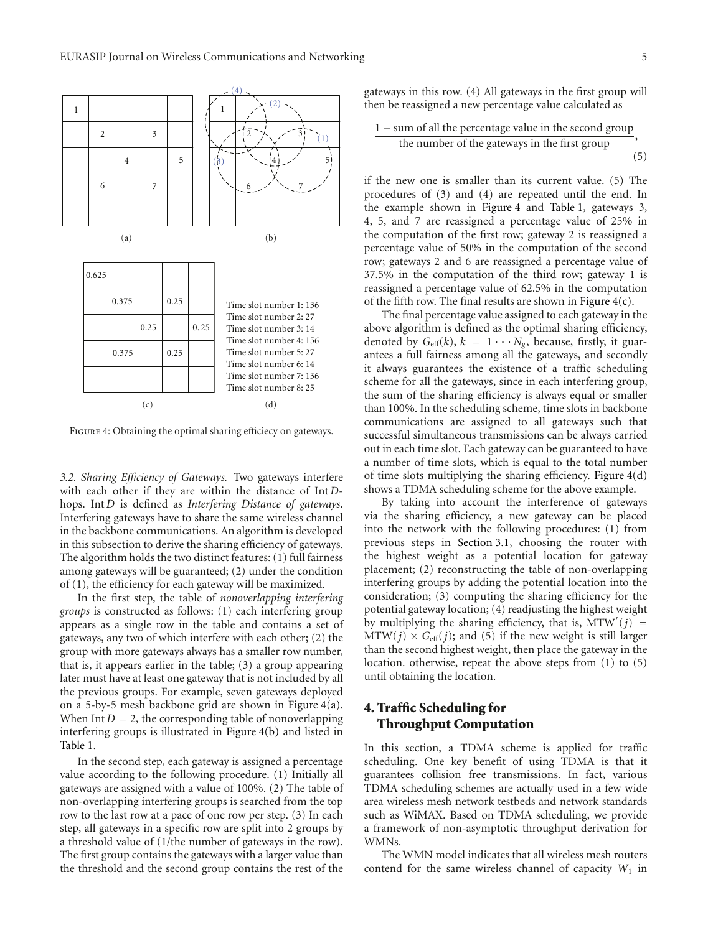

FIGURE 4: Obtaining the optimal sharing efficiecy on gateways.

*3.2. Sharing Efficiency of Gateways.* Two gateways interfere with each other if they are within the distance of Int *D*hops. Int *D* is defined as *Interfering Distance of gateways*. Interfering gateways have to share the same wireless channel in the backbone communications. An algorithm is developed in this subsection to derive the sharing efficiency of gateways. The algorithm holds the two distinct features: (1) full fairness among gateways will be guaranteed; (2) under the condition of (1), the efficiency for each gateway will be maximized.

In the first step, the table of *nonoverlapping interfering groups* is constructed as follows: (1) each interfering group appears as a single row in the table and contains a set of gateways, any two of which interfere with each other; (2) the group with more gateways always has a smaller row number, that is, it appears earlier in the table; (3) a group appearing later must have at least one gateway that is not included by all the previous groups. For example, seven gateways deployed on a 5-by-5 mesh backbone grid are shown in Figure 4(a). When Int  $D = 2$ , the corresponding table of nonoverlapping interfering groups is illustrated in Figure 4(b) and listed in Table 1.

In the second step, each gateway is assigned a percentage value according to the following procedure. (1) Initially all gateways are assigned with a value of 100%. (2) The table of non-overlapping interfering groups is searched from the top row to the last row at a pace of one row per step. (3) In each step, all gateways in a specific row are split into 2 groups by a threshold value of (1/the number of gateways in the row). The first group contains the gateways with a larger value than the threshold and the second group contains the rest of the

gateways in this row. (4) All gateways in the first group will then be reassigned a new percentage value calculated as

$$
\frac{1 - \text{sum of all the percentage value in the second group}}{\text{the number of the gateways in the first group}},
$$
\n(5)

if the new one is smaller than its current value. (5) The procedures of (3) and (4) are repeated until the end. In the example shown in Figure 4 and Table 1, gateways 3, 4, 5, and 7 are reassigned a percentage value of 25% in the computation of the first row; gateway 2 is reassigned a percentage value of 50% in the computation of the second row; gateways 2 and 6 are reassigned a percentage value of 37.5% in the computation of the third row; gateway 1 is reassigned a percentage value of 62.5% in the computation of the fifth row. The final results are shown in Figure  $4(c)$ .

The final percentage value assigned to each gateway in the above algorithm is defined as the optimal sharing efficiency, denoted by  $G_{\text{eff}}(k)$ ,  $k = 1 \cdots N_g$ , because, firstly, it guarantees a full fairness among all the gateways, and secondly it always guarantees the existence of a traffic scheduling scheme for all the gateways, since in each interfering group, the sum of the sharing efficiency is always equal or smaller than 100%. In the scheduling scheme, time slots in backbone communications are assigned to all gateways such that successful simultaneous transmissions can be always carried out in each time slot. Each gateway can be guaranteed to have a number of time slots, which is equal to the total number of time slots multiplying the sharing efficiency. Figure 4(d) shows a TDMA scheduling scheme for the above example.

By taking into account the interference of gateways via the sharing efficiency, a new gateway can be placed into the network with the following procedures: (1) from previous steps in Section 3.1, choosing the router with the highest weight as a potential location for gateway placement; (2) reconstructing the table of non-overlapping interfering groups by adding the potential location into the consideration; (3) computing the sharing efficiency for the potential gateway location; (4) readjusting the highest weight by multiplying the sharing efficiency, that is,  $MTW'(j)$  =  $MTW(j) \times G_{eff}(j)$ ; and (5) if the new weight is still larger than the second highest weight, then place the gateway in the location. otherwise, repeat the above steps from (1) to (5) until obtaining the location.

## **4. Traffic Scheduling for Throughput Computation**

In this section, a TDMA scheme is applied for traffic scheduling. One key benefit of using TDMA is that it guarantees collision free transmissions. In fact, various TDMA scheduling schemes are actually used in a few wide area wireless mesh network testbeds and network standards such as WiMAX. Based on TDMA scheduling, we provide a framework of non-asymptotic throughput derivation for WMNs.

The WMN model indicates that all wireless mesh routers contend for the same wireless channel of capacity  $W_1$  in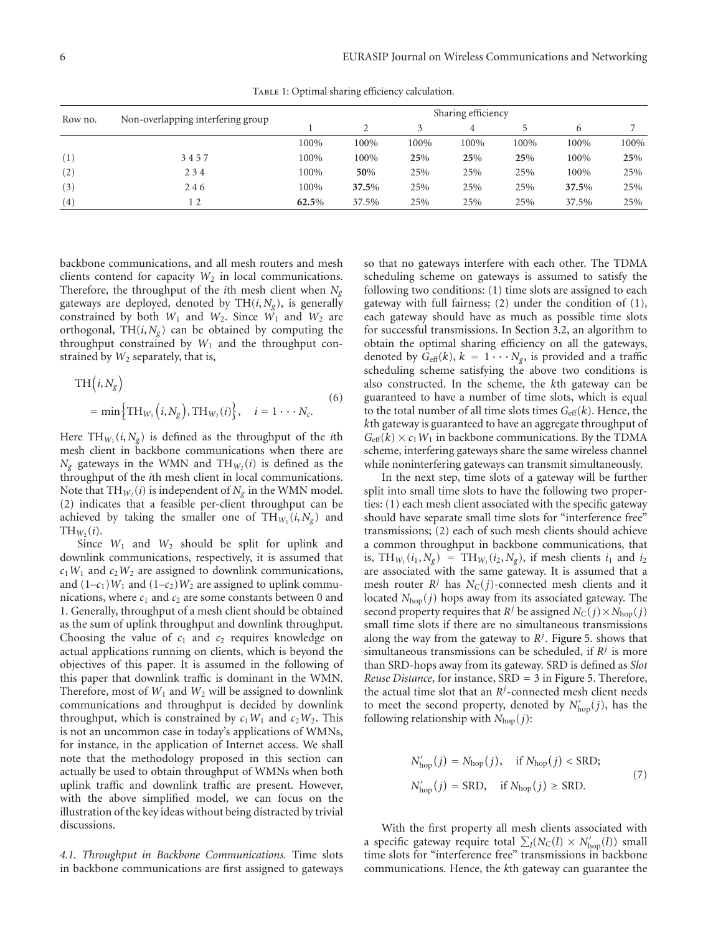| Row no.          | Non-overlapping interfering group | Sharing efficiency |               |      |      |      |       |      |  |
|------------------|-----------------------------------|--------------------|---------------|------|------|------|-------|------|--|
|                  |                                   |                    | $\mathcal{L}$ |      | 4    |      | 6     |      |  |
|                  |                                   | 100%               | 100%          | 100% | 100% | 100% | 100%  | 100% |  |
| $\left(1\right)$ | 3457                              | 100%               | 100%          | 25%  | 25%  | 25%  | 100%  | 25%  |  |
| (2)              | 234                               | 100%               | 50%           | 25%  | 25%  | 25%  | 100%  | 25%  |  |
| (3)              | 246                               | 100%               | 37.5%         | 25%  | 25%  | 25%  | 37.5% | 25%  |  |
| (4)              | 12                                | 62.5%              | 37.5%         | 25%  | 25%  | 25%  | 37.5% | 25%  |  |

TABLE 1: Optimal sharing efficiency calculation.

backbone communications, and all mesh routers and mesh clients contend for capacity  $W_2$  in local communications. Therefore, the throughput of the *i*th mesh client when *Ng* gateways are deployed, denoted by  $TH(i, N_g)$ , is generally constrained by both  $W_1$  and  $W_2$ . Since  $W_1$  and  $W_2$  are orthogonal, TH $(i, N_g)$  can be obtained by computing the throughput constrained by  $W_1$  and the throughput constrained by  $W_2$  separately, that is,

$$
\mathrm{TH}\left(i, N_g\right)
$$
  
= min $\left\{\mathrm{TH}_{W_1}\left(i, N_g\right), \mathrm{TH}_{W_2}(i)\right\}, \quad i = 1 \cdots N_c.$  (6)

Here  $TH_{W_1}(i, N_g)$  is defined as the throughput of the *i*th mesh client in backbone communications when there are  $N_g$  gateways in the WMN and TH<sub>W2</sub>(*i*) is defined as the throughput of the *i*th mesh client in local communications. Note that  $TH_{W_2}(i)$  is independent of  $N_g$  in the WMN model. (2) indicates that a feasible per-client throughput can be achieved by taking the smaller one of  $TH_{W_1}(i, N_g)$  and  $TH_{W_2}(i)$ .

Since  $W_1$  and  $W_2$  should be split for uplink and downlink communications, respectively, it is assumed that  $c_1W_1$  and  $c_2W_2$  are assigned to downlink communications, and  $(1-c_1)W_1$  and  $(1-c_2)W_2$  are assigned to uplink communications, where  $c_1$  and  $c_2$  are some constants between 0 and 1. Generally, throughput of a mesh client should be obtained as the sum of uplink throughput and downlink throughput. Choosing the value of  $c_1$  and  $c_2$  requires knowledge on actual applications running on clients, which is beyond the objectives of this paper. It is assumed in the following of this paper that downlink traffic is dominant in the WMN. Therefore, most of  $W_1$  and  $W_2$  will be assigned to downlink communications and throughput is decided by downlink throughput, which is constrained by  $c_1W_1$  and  $c_2W_2$ . This is not an uncommon case in today's applications of WMNs, for instance, in the application of Internet access. We shall note that the methodology proposed in this section can actually be used to obtain throughput of WMNs when both uplink traffic and downlink traffic are present. However, with the above simplified model, we can focus on the illustration of the key ideas without being distracted by trivial discussions.

*4.1. Throughput in Backbone Communications.* Time slots in backbone communications are first assigned to gateways so that no gateways interfere with each other. The TDMA scheduling scheme on gateways is assumed to satisfy the following two conditions: (1) time slots are assigned to each gateway with full fairness; (2) under the condition of (1), each gateway should have as much as possible time slots for successful transmissions. In Section 3.2, an algorithm to obtain the optimal sharing efficiency on all the gateways, denoted by  $G_{\text{eff}}(k)$ ,  $k = 1 \cdots N_{\varrho}$ , is provided and a traffic scheduling scheme satisfying the above two conditions is also constructed. In the scheme, the *k*th gateway can be guaranteed to have a number of time slots, which is equal to the total number of all time slots times  $G_{\text{eff}}(k)$ . Hence, the *k*th gateway is guaranteed to have an aggregate throughput of  $G_{\text{eff}}(k) \times c_1 W_1$  in backbone communications. By the TDMA scheme, interfering gateways share the same wireless channel while noninterfering gateways can transmit simultaneously.

In the next step, time slots of a gateway will be further split into small time slots to have the following two properties: (1) each mesh client associated with the specific gateway should have separate small time slots for "interference free" transmissions; (2) each of such mesh clients should achieve a common throughput in backbone communications, that is, TH<sub>W<sub>1</sub></sub>( $i_1$ ,  $N_g$ ) = TH<sub>W<sub>1</sub></sub>( $i_2$ ,  $N_g$ ), if mesh clients  $i_1$  and  $i_2$ are associated with the same gateway. It is assumed that a mesh router  $R^j$  has  $N_C(j)$ -connected mesh clients and it located  $N_{\text{hop}}(j)$  hops away from its associated gateway. The second property requires that  $R^j$  be assigned  $N_C(j) \times N_{\text{hop}}(j)$ small time slots if there are no simultaneous transmissions along the way from the gateway to  $R^j$ . Figure 5. shows that simultaneous transmissions can be scheduled, if *R<sup>j</sup>* is more than SRD-hops away from its gateway. SRD is defined as *Slot Reuse Distance*, for instance, SRD = 3 in Figure 5. Therefore, the actual time slot that an *R<sup>j</sup>* -connected mesh client needs to meet the second property, denoted by  $N'_{\text{hop}}(j)$ , has the following relationship with  $N_{\text{hop}}(j)$ :

$$
N'_{\text{hop}}(j) = N_{\text{hop}}(j), \quad \text{if } N_{\text{hop}}(j) < \text{SRD};
$$
\n
$$
N'_{\text{hop}}(j) = \text{SRD}, \quad \text{if } N_{\text{hop}}(j) \geq \text{SRD}.
$$
\n
$$
(7)
$$

With the first property all mesh clients associated with a specific gateway require total  $\sum_l(N_C(l) \times N'_{\text{hop}}(l))$  small time slots for "interference free" transmissions in backbone communications. Hence, the *k*th gateway can guarantee the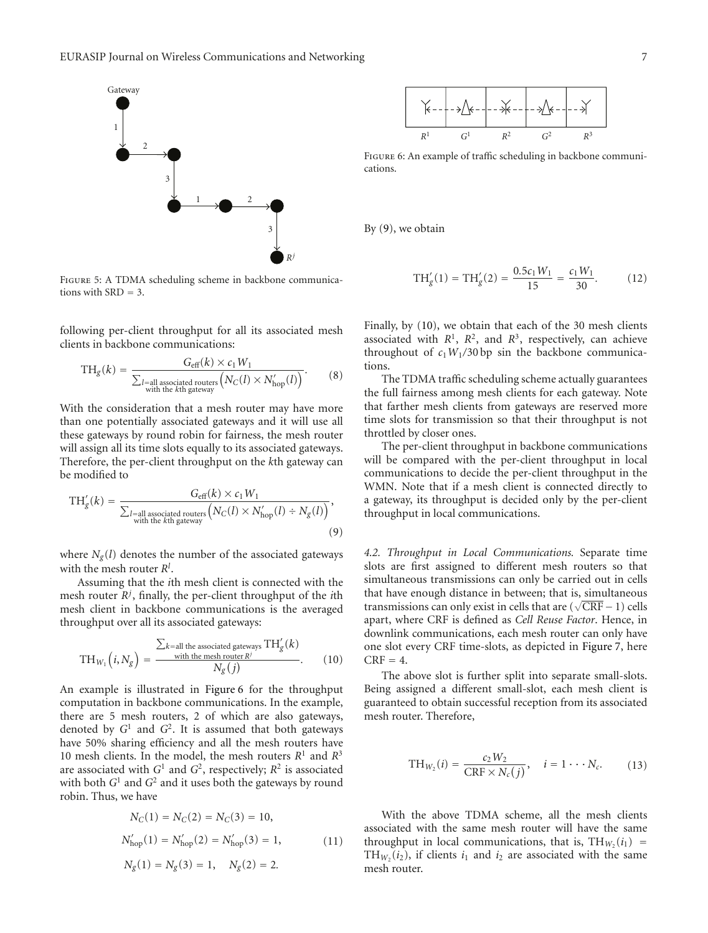

Figure 5: A TDMA scheduling scheme in backbone communications with SRD = 3.

following per-client throughput for all its associated mesh clients in backbone communications:

$$
TH_g(k) = \frac{G_{\text{eff}}(k) \times c_1 W_1}{\sum_{\substack{l=\text{all associated routers} \\ \text{with the } k \text{th gateway}}} \left( N_C(l) \times N'_{\text{hop}}(l) \right)}.
$$
 (8)

With the consideration that a mesh router may have more than one potentially associated gateways and it will use all these gateways by round robin for fairness, the mesh router will assign all its time slots equally to its associated gateways. Therefore, the per-client throughput on the *k*th gateway can be modified to

$$
\text{TH}_g'(k) = \frac{G_{\text{eff}}(k) \times c_1 W_1}{\sum_{\substack{l=\text{all associated routers} \\ \text{with the kth gateway}}} \left( N_C(l) \times N_{\text{hop}}'(l) \div N_g(l) \right)},\tag{9}
$$

where  $N_g(l)$  denotes the number of the associated gateways with the mesh router *Rl* .

Assuming that the *i*th mesh client is connected with the mesh router *R<sup>j</sup>* , finally, the per-client throughput of the *i*th mesh client in backbone communications is the averaged throughput over all its associated gateways:

$$
\text{TH}_{W_1}\left(i, N_g\right) = \frac{\sum_{k=\text{all the associated gateways}} \text{TH}_g'(k)}{N_g(j)}.\tag{10}
$$

An example is illustrated in Figure 6 for the throughput computation in backbone communications. In the example, there are 5 mesh routers, 2 of which are also gateways, denoted by  $G^1$  and  $G^2$ . It is assumed that both gateways have 50% sharing efficiency and all the mesh routers have 10 mesh clients. In the model, the mesh routers  $R^1$  and  $R^3$ are associated with  $G^1$  and  $G^2$ , respectively;  $R^2$  is associated with both  $G<sup>1</sup>$  and  $G<sup>2</sup>$  and it uses both the gateways by round robin. Thus, we have

$$
N_C(1) = N_C(2) = N_C(3) = 10,
$$
  
\n
$$
N'_{\text{hop}}(1) = N'_{\text{hop}}(2) = N'_{\text{hop}}(3) = 1,
$$
  
\n
$$
N_g(1) = N_g(3) = 1, \qquad N_g(2) = 2.
$$
\n(11)



FIGURE 6: An example of traffic scheduling in backbone communications.

By (9), we obtain

$$
TH'_{g}(1) = TH'_{g}(2) = \frac{0.5c_1 W_1}{15} = \frac{c_1 W_1}{30}.
$$
 (12)

Finally, by (10), we obtain that each of the 30 mesh clients associated with  $R^1$ ,  $R^2$ , and  $R^3$ , respectively, can achieve throughout of  $c_1W_1/30$  bp sin the backbone communications.

The TDMA traffic scheduling scheme actually guarantees the full fairness among mesh clients for each gateway. Note that farther mesh clients from gateways are reserved more time slots for transmission so that their throughput is not throttled by closer ones.

The per-client throughput in backbone communications will be compared with the per-client throughput in local communications to decide the per-client throughput in the WMN. Note that if a mesh client is connected directly to a gateway, its throughput is decided only by the per-client throughput in local communications.

*4.2. Throughput in Local Communications.* Separate time slots are first assigned to different mesh routers so that simultaneous transmissions can only be carried out in cells that have enough distance in between; that is, simultaneous transmissions can only exist in cells that are  $(\sqrt{CRF}-1)$  cells apart, where CRF is defined as *Cell Reuse Factor*. Hence, in downlink communications, each mesh router can only have one slot every CRF time-slots, as depicted in Figure 7, here  $CRF = 4.$ 

The above slot is further split into separate small-slots. Being assigned a different small-slot, each mesh client is guaranteed to obtain successful reception from its associated mesh router. Therefore,

$$
\mathrm{TH}_{W_2}(i) = \frac{c_2 W_2}{\mathrm{CRF} \times N_c(j)}, \quad i = 1 \cdots N_c. \tag{13}
$$

With the above TDMA scheme, all the mesh clients associated with the same mesh router will have the same throughput in local communications, that is,  $TH_{W_2}(i_1)$  = TH<sub>*W*2</sub>( $i_2$ ), if clients  $i_1$  and  $i_2$  are associated with the same mesh router.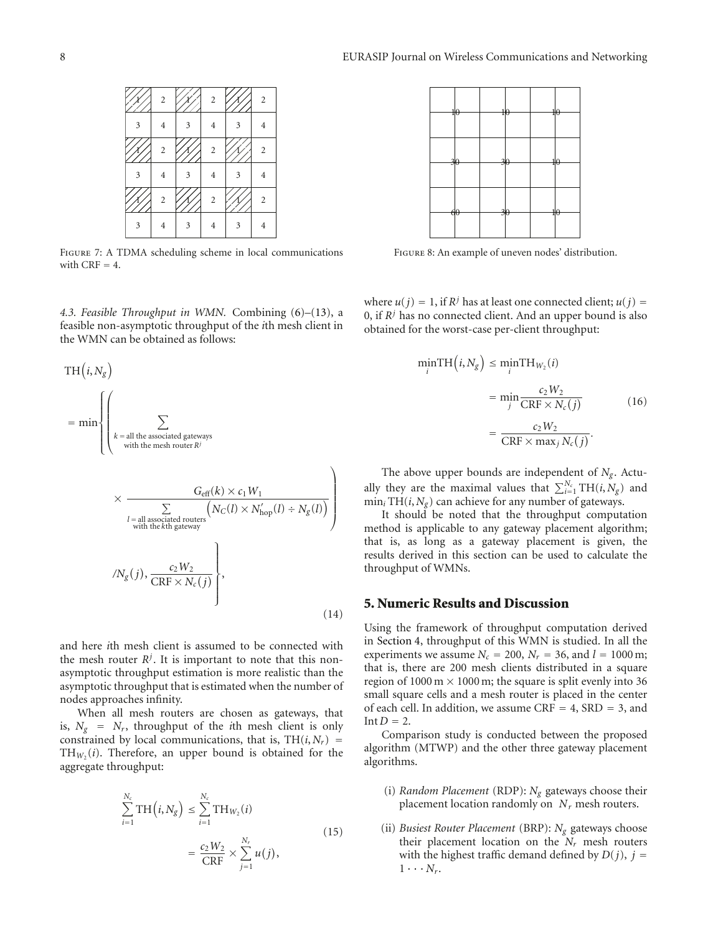

Figure 7: A TDMA scheduling scheme in local communications with  $CRF = 4$ .

*4.3. Feasible Throughput in WMN.* Combining (6)–(13), a feasible non-asymptotic throughput of the *i*th mesh client in the WMN can be obtained as follows:

TH(*i*, 
$$
N_g
$$
)  
\n
$$
= min \left\{ \left( \sum_{k = all the associated gateways\nwith the mesh router Rj \n× 
$$
\frac{G_{\text{eff}}(k) \times c_1 W_1}{\sum_{l = all associated routers} (N_C(l) \times N'_{\text{hop}}(l) \div N_g(l))} \right)
$$
\n
$$
N_g(j), \frac{c_2 W_2}{CRF \times N_c(j)} \right\},
$$
\n(14)
$$

and here *i*th mesh client is assumed to be connected with the mesh router  $R^j$ . It is important to note that this nonasymptotic throughput estimation is more realistic than the asymptotic throughput that is estimated when the number of nodes approaches infinity.

When all mesh routers are chosen as gateways, that is,  $N_e$  =  $N_r$ , throughput of the *i*th mesh client is only constrained by local communications, that is,  $TH(i, N_r)$  $TH_{W_2}(i)$ . Therefore, an upper bound is obtained for the aggregate throughput:

$$
\sum_{i=1}^{N_c} TH(i, N_g) \le \sum_{i=1}^{N_c} TH_{W_2}(i)
$$
\n
$$
= \frac{c_2 W_2}{CRF} \times \sum_{j=1}^{N_r} u(j),
$$
\n(15)



Figure 8: An example of uneven nodes' distribution.

where  $u(j) = 1$ , if  $R<sup>j</sup>$  has at least one connected client;  $u(j) =$ 0, if *R<sup>j</sup>* has no connected client. And an upper bound is also obtained for the worst-case per-client throughput:

$$
\min_{i} \text{TH}\left(i, N_{g}\right) \leq \min_{i} \text{TH}_{W_{2}}(i)
$$
\n
$$
= \min_{j} \frac{c_{2}W_{2}}{\text{CRF} \times N_{c}(j)} \tag{16}
$$
\n
$$
= \frac{c_{2}W_{2}}{\text{CRF} \times \max_{j} N_{c}(j)}.
$$

The above upper bounds are independent of  $N_g$ . Actually they are the maximal values that  $\sum_{i=1}^{N_c} TH(i, N_g)$  and  $\min_i \text{TH}(i, N_g)$  can achieve for any number of gateways.

It should be noted that the throughput computation method is applicable to any gateway placement algorithm; that is, as long as a gateway placement is given, the results derived in this section can be used to calculate the throughput of WMNs.

#### **5. Numeric Results and Discussion**

Using the framework of throughput computation derived in Section 4, throughput of this WMN is studied. In all the experiments we assume  $N_c = 200$ ,  $N_r = 36$ , and  $l = 1000$  m; that is, there are 200 mesh clients distributed in a square region of 1000 m  $\times$  1000 m; the square is split evenly into 36 small square cells and a mesh router is placed in the center of each cell. In addition, we assume  $CRF = 4$ ,  $SRD = 3$ , and  $Int D = 2.$ 

Comparison study is conducted between the proposed algorithm (MTWP) and the other three gateway placement algorithms.

- (i) *Random Placement* (RDP): *Ng* gateways choose their placement location randomly on *Nr* mesh routers.
- (ii) *Busiest Router Placement* (BRP): *Ng* gateways choose their placement location on the  $N_r$  mesh routers with the highest traffic demand defined by  $D(j)$ ,  $j =$  $1 \cdot \cdot \cdot N_r$ .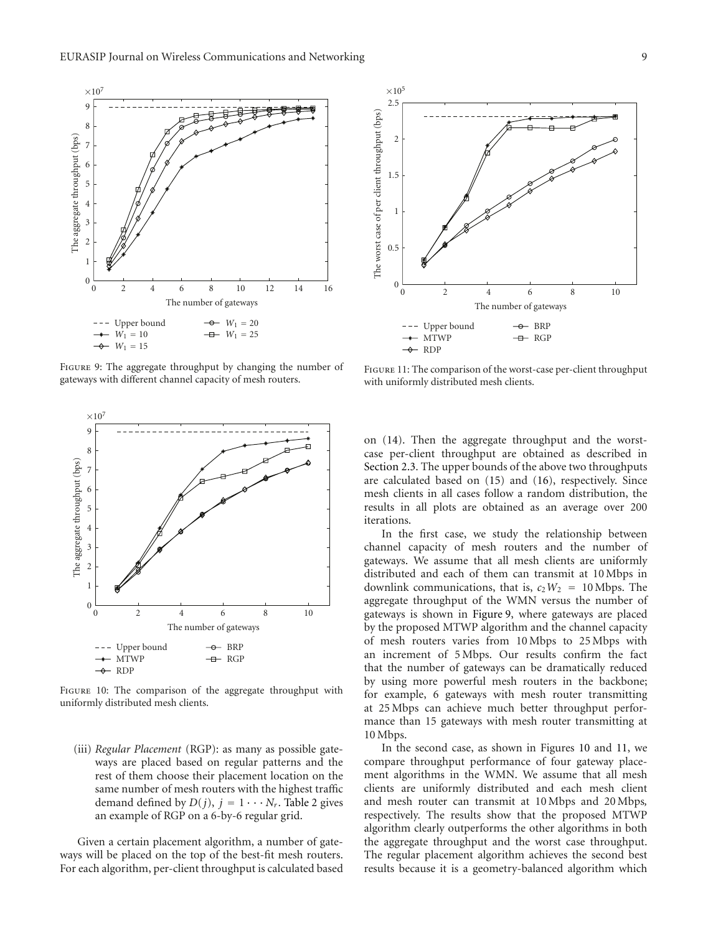

Figure 9: The aggregate throughput by changing the number of gateways with different channel capacity of mesh routers.



Figure 10: The comparison of the aggregate throughput with uniformly distributed mesh clients.

(iii) *Regular Placement* (RGP): as many as possible gateways are placed based on regular patterns and the rest of them choose their placement location on the same number of mesh routers with the highest traffic demand defined by  $D(j)$ ,  $j = 1 \cdots N_r$ . Table 2 gives an example of RGP on a 6-by-6 regular grid.

Given a certain placement algorithm, a number of gateways will be placed on the top of the best-fit mesh routers. For each algorithm, per-client throughput is calculated based



Figure 11: The comparison of the worst-case per-client throughput with uniformly distributed mesh clients.

on (14). Then the aggregate throughput and the worstcase per-client throughput are obtained as described in Section 2.3. The upper bounds of the above two throughputs are calculated based on (15) and (16), respectively. Since mesh clients in all cases follow a random distribution, the results in all plots are obtained as an average over 200 iterations.

In the first case, we study the relationship between channel capacity of mesh routers and the number of gateways. We assume that all mesh clients are uniformly distributed and each of them can transmit at 10 Mbps in downlink communications, that is,  $c_2W_2 = 10$  Mbps. The aggregate throughput of the WMN versus the number of gateways is shown in Figure 9, where gateways are placed by the proposed MTWP algorithm and the channel capacity of mesh routers varies from 10 Mbps to 25 Mbps with an increment of 5 Mbps. Our results confirm the fact that the number of gateways can be dramatically reduced by using more powerful mesh routers in the backbone; for example, 6 gateways with mesh router transmitting at 25 Mbps can achieve much better throughput performance than 15 gateways with mesh router transmitting at 10 Mbps.

In the second case, as shown in Figures 10 and 11, we compare throughput performance of four gateway placement algorithms in the WMN. We assume that all mesh clients are uniformly distributed and each mesh client and mesh router can transmit at 10 Mbps and 20 Mbps*,* respectively. The results show that the proposed MTWP algorithm clearly outperforms the other algorithms in both the aggregate throughput and the worst case throughput. The regular placement algorithm achieves the second best results because it is a geometry-balanced algorithm which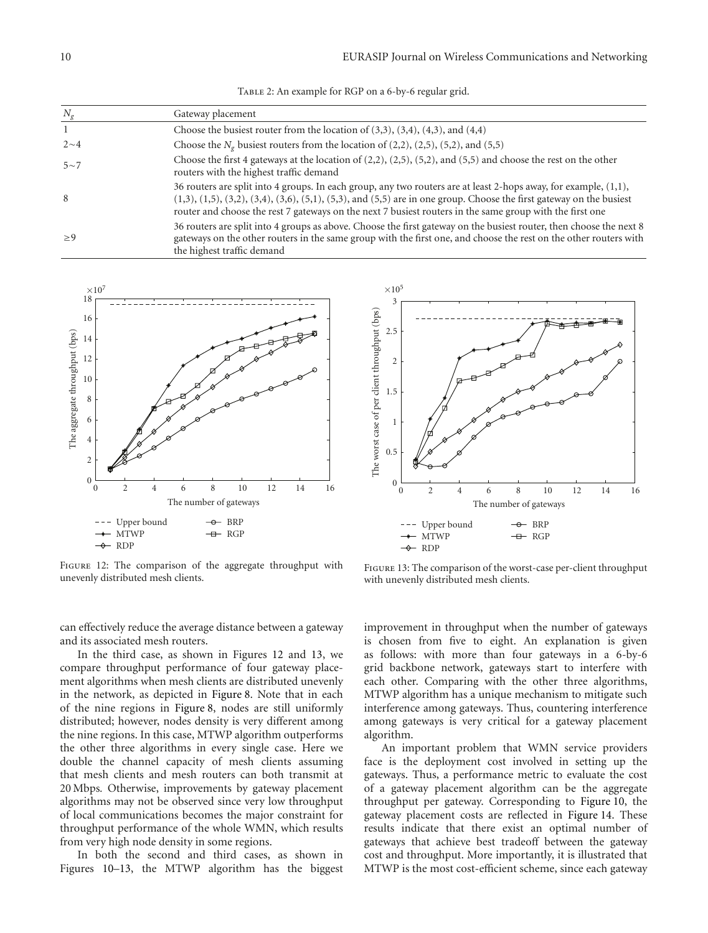TABLE 2: An example for RGP on a 6-by-6 regular grid.

| $N_g$    | Gateway placement                                                                                                                                                                                                                                                                                                                                                              |
|----------|--------------------------------------------------------------------------------------------------------------------------------------------------------------------------------------------------------------------------------------------------------------------------------------------------------------------------------------------------------------------------------|
|          | Choose the busiest router from the location of $(3,3)$ , $(3,4)$ , $(4,3)$ , and $(4,4)$                                                                                                                                                                                                                                                                                       |
| $2 - 4$  | Choose the $N_e$ busiest routers from the location of (2,2), (2,5), (5,2), and (5,5)                                                                                                                                                                                                                                                                                           |
| $5\sim7$ | Choose the first 4 gateways at the location of $(2,2)$ , $(2,5)$ , $(5,2)$ , and $(5,5)$ and choose the rest on the other<br>routers with the highest traffic demand                                                                                                                                                                                                           |
| 8        | 36 routers are split into 4 groups. In each group, any two routers are at least 2-hops away, for example, $(1,1)$ ,<br>$(1,3)$ , $(1,5)$ , $(3,2)$ , $(3,4)$ , $(3,6)$ , $(5,1)$ , $(5,3)$ , and $(5,5)$ are in one group. Choose the first gateway on the busiest<br>router and choose the rest 7 gateways on the next 7 busiest routers in the same group with the first one |
| > 9      | 36 routers are split into 4 groups as above. Choose the first gateway on the busiest router, then choose the next 8<br>gateways on the other routers in the same group with the first one, and choose the rest on the other routers with<br>the highest traffic demand                                                                                                         |



Figure 12: The comparison of the aggregate throughput with unevenly distributed mesh clients.



Figure 13: The comparison of the worst-case per-client throughput with unevenly distributed mesh clients.

can effectively reduce the average distance between a gateway and its associated mesh routers.

In the third case, as shown in Figures 12 and 13, we compare throughput performance of four gateway placement algorithms when mesh clients are distributed unevenly in the network, as depicted in Figure 8. Note that in each of the nine regions in Figure 8, nodes are still uniformly distributed; however, nodes density is very different among the nine regions. In this case, MTWP algorithm outperforms the other three algorithms in every single case. Here we double the channel capacity of mesh clients assuming that mesh clients and mesh routers can both transmit at 20 Mbps*.* Otherwise, improvements by gateway placement algorithms may not be observed since very low throughput of local communications becomes the major constraint for throughput performance of the whole WMN, which results from very high node density in some regions.

In both the second and third cases, as shown in Figures 10–13, the MTWP algorithm has the biggest

improvement in throughput when the number of gateways is chosen from five to eight. An explanation is given as follows: with more than four gateways in a 6-by-6 grid backbone network, gateways start to interfere with each other. Comparing with the other three algorithms, MTWP algorithm has a unique mechanism to mitigate such interference among gateways. Thus, countering interference among gateways is very critical for a gateway placement algorithm.

An important problem that WMN service providers face is the deployment cost involved in setting up the gateways. Thus, a performance metric to evaluate the cost of a gateway placement algorithm can be the aggregate throughput per gateway. Corresponding to Figure 10, the gateway placement costs are reflected in Figure 14. These results indicate that there exist an optimal number of gateways that achieve best tradeoff between the gateway cost and throughput. More importantly, it is illustrated that MTWP is the most cost-efficient scheme, since each gateway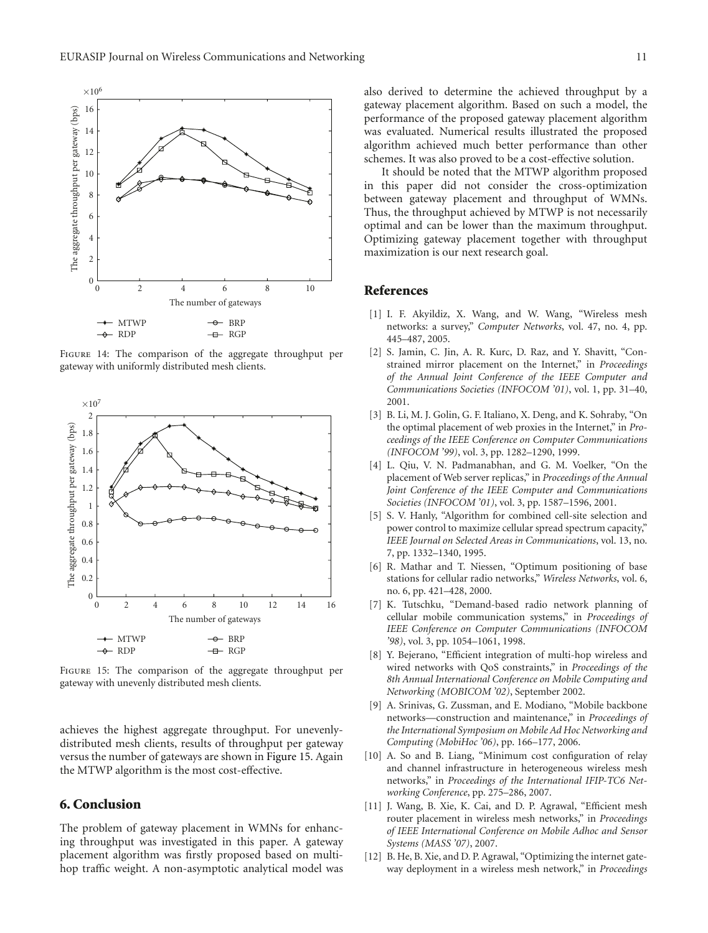

Figure 14: The comparison of the aggregate throughput per gateway with uniformly distributed mesh clients.



Figure 15: The comparison of the aggregate throughput per gateway with unevenly distributed mesh clients.

achieves the highest aggregate throughput. For unevenlydistributed mesh clients, results of throughput per gateway versus the number of gateways are shown in Figure 15. Again the MTWP algorithm is the most cost-effective.

#### **6. Conclusion**

The problem of gateway placement in WMNs for enhancing throughput was investigated in this paper. A gateway placement algorithm was firstly proposed based on multihop traffic weight. A non-asymptotic analytical model was

also derived to determine the achieved throughput by a gateway placement algorithm. Based on such a model, the performance of the proposed gateway placement algorithm was evaluated. Numerical results illustrated the proposed algorithm achieved much better performance than other schemes. It was also proved to be a cost-effective solution.

It should be noted that the MTWP algorithm proposed in this paper did not consider the cross-optimization between gateway placement and throughput of WMNs. Thus, the throughput achieved by MTWP is not necessarily optimal and can be lower than the maximum throughput. Optimizing gateway placement together with throughput maximization is our next research goal.

#### **References**

- [1] I. F. Akyildiz, X. Wang, and W. Wang, "Wireless mesh networks: a survey," *Computer Networks*, vol. 47, no. 4, pp. 445–487, 2005.
- [2] S. Jamin, C. Jin, A. R. Kurc, D. Raz, and Y. Shavitt, "Constrained mirror placement on the Internet," in *Proceedings of the Annual Joint Conference of the IEEE Computer and Communications Societies (INFOCOM '01)*, vol. 1, pp. 31–40, 2001.
- [3] B. Li, M. J. Golin, G. F. Italiano, X. Deng, and K. Sohraby, "On the optimal placement of web proxies in the Internet," in *Proceedings of the IEEE Conference on Computer Communications (INFOCOM '99)*, vol. 3, pp. 1282–1290, 1999.
- [4] L. Qiu, V. N. Padmanabhan, and G. M. Voelker, "On the placement of Web server replicas," in *Proceedings of the Annual Joint Conference of the IEEE Computer and Communications Societies (INFOCOM '01)*, vol. 3, pp. 1587–1596, 2001.
- [5] S. V. Hanly, "Algorithm for combined cell-site selection and power control to maximize cellular spread spectrum capacity," *IEEE Journal on Selected Areas in Communications*, vol. 13, no. 7, pp. 1332–1340, 1995.
- [6] R. Mathar and T. Niessen, "Optimum positioning of base stations for cellular radio networks," *Wireless Networks*, vol. 6, no. 6, pp. 421–428, 2000.
- [7] K. Tutschku, "Demand-based radio network planning of cellular mobile communication systems," in *Proceedings of IEEE Conference on Computer Communications (INFOCOM '98)*, vol. 3, pp. 1054–1061, 1998.
- [8] Y. Bejerano, "Efficient integration of multi-hop wireless and wired networks with QoS constraints," in *Proceedings of the 8th Annual International Conference on Mobile Computing and Networking (MOBICOM '02)*, September 2002.
- [9] A. Srinivas, G. Zussman, and E. Modiano, "Mobile backbone networks—construction and maintenance," in *Proceedings of the International Symposium on Mobile Ad Hoc Networking and Computing (MobiHoc '06)*, pp. 166–177, 2006.
- [10] A. So and B. Liang, "Minimum cost configuration of relay and channel infrastructure in heterogeneous wireless mesh networks," in *Proceedings of the International IFIP-TC6 Networking Conference*, pp. 275–286, 2007.
- [11] J. Wang, B. Xie, K. Cai, and D. P. Agrawal, "Efficient mesh" router placement in wireless mesh networks," in *Proceedings of IEEE International Conference on Mobile Adhoc and Sensor Systems (MASS '07)*, 2007.
- [12] B. He, B. Xie, and D. P. Agrawal, "Optimizing the internet gateway deployment in a wireless mesh network," in *Proceedings*